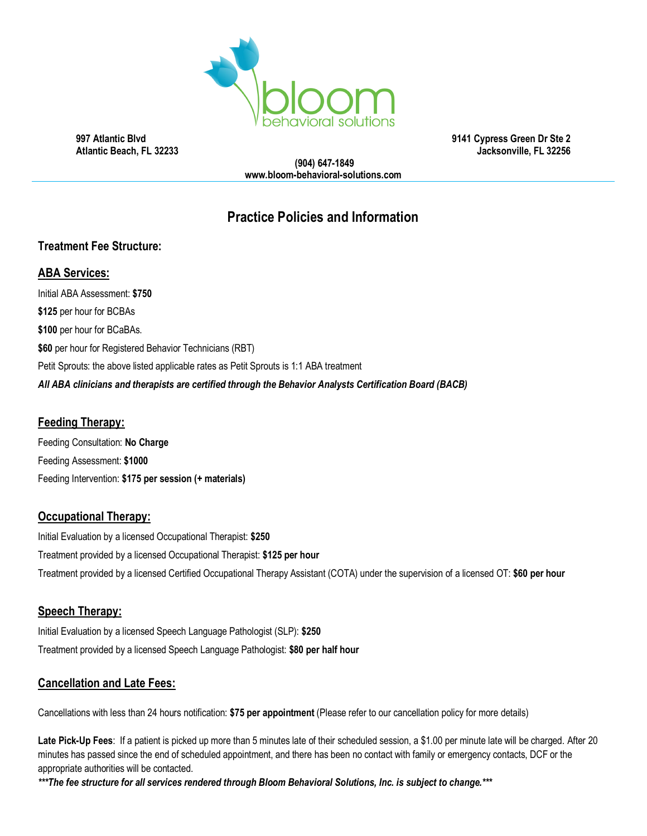

 **997 Atlantic Blvd 9141 Cypress Green Dr Ste 2 Atlantic Beach, FL 32233 Jacksonville, FL 32256**

**(904) 647-1849 www.bloom-behavioral-solutions.com**

# **Practice Policies and Information**

# **Treatment Fee Structure:**

# **ABA Services:**

Initial ABA Assessment: **\$750 \$125** per hour for BCBAs **\$100** per hour for BCaBAs. **\$60** per hour for Registered Behavior Technicians (RBT) Petit Sprouts: the above listed applicable rates as Petit Sprouts is 1:1 ABA treatment *All ABA clinicians and therapists are certified through the Behavior Analysts Certification Board (BACB)*

# **Feeding Therapy:**

Feeding Consultation: **No Charge** Feeding Assessment: **\$1000** Feeding Intervention: **\$175 per session (+ materials)**

# **Occupational Therapy:**

Initial Evaluation by a licensed Occupational Therapist: **\$250** Treatment provided by a licensed Occupational Therapist: **\$125 per hour** Treatment provided by a licensed Certified Occupational Therapy Assistant (COTA) under the supervision of a licensed OT: **\$60 per hour**

# **Speech Therapy:**

Initial Evaluation by a licensed Speech Language Pathologist (SLP): **\$250** Treatment provided by a licensed Speech Language Pathologist: **\$80 per half hour**

# **Cancellation and Late Fees:**

Cancellations with less than 24 hours notification: **\$75 per appointment** (Please refer to our cancellation policy for more details)

**Late Pick-Up Fees**: If a patient is picked up more than 5 minutes late of their scheduled session, a \$1.00 per minute late will be charged. After 20 minutes has passed since the end of scheduled appointment, and there has been no contact with family or emergency contacts, DCF or the appropriate authorities will be contacted.

*\*\*\*The fee structure for all services rendered through Bloom Behavioral Solutions, Inc. is subject to change.\*\*\**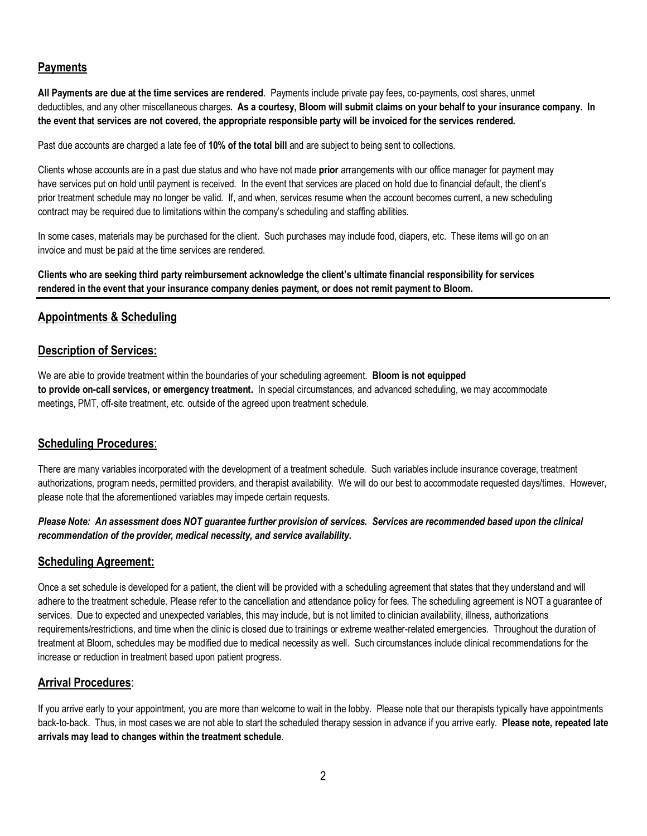# **Payments**

**All Payments are due at the time services are rendered**. Payments include private pay fees, co-payments, cost shares, unmet deductibles, and any other miscellaneous charges**. As a courtesy, Bloom will submit claims on your behalf to your insurance company. In the event that services are not covered, the appropriate responsible party will be invoiced for the services rendered.** 

Past due accounts are charged a late fee of **10% of the total bill** and are subject to being sent to collections.

Clients whose accounts are in a past due status and who have not made **prior** arrangements with our office manager for payment may have services put on hold until payment is received. In the event that services are placed on hold due to financial default, the client's prior treatment schedule may no longer be valid. If, and when, services resume when the account becomes current, a new scheduling contract may be required due to limitations within the company's scheduling and staffing abilities.

In some cases, materials may be purchased for the client. Such purchases may include food, diapers, etc. These items will go on an invoice and must be paid at the time services are rendered.

**Clients who are seeking third party reimbursement acknowledge the client's ultimate financial responsibility for services rendered in the event that your insurance company denies payment, or does not remit payment to Bloom.** 

#### **Appointments & Scheduling**

# **Description of Services:**

We are able to provide treatment within the boundaries of your scheduling agreement. **Bloom is not equipped to provide on-call services, or emergency treatment.** In special circumstances, and advanced scheduling, we may accommodate meetings, PMT, off-site treatment, etc. outside of the agreed upon treatment schedule.

#### **Scheduling Procedures**:

There are many variables incorporated with the development of a treatment schedule. Such variables include insurance coverage, treatment authorizations, program needs, permitted providers, and therapist availability. We will do our best to accommodate requested days/times. However, please note that the aforementioned variables may impede certain requests.

#### *Please Note: An assessment does NOT guarantee further provision of services. Services are recommended based upon the clinical recommendation of the provider, medical necessity, and service availability.*

# **Scheduling Agreement:**

Once a set schedule is developed for a patient, the client will be provided with a scheduling agreement that states that they understand and will adhere to the treatment schedule. Please refer to the cancellation and attendance policy for fees. The scheduling agreement is NOT a guarantee of services. Due to expected and unexpected variables, this may include, but is not limited to clinician availability, illness, authorizations requirements/restrictions, and time when the clinic is closed due to trainings or extreme weather-related emergencies. Throughout the duration of treatment at Bloom, schedules may be modified due to medical necessity as well. Such circumstances include clinical recommendations for the increase or reduction in treatment based upon patient progress.

# **Arrival Procedures**:

If you arrive early to your appointment, you are more than welcome to wait in the lobby. Please note that our therapists typically have appointments back-to-back. Thus, in most cases we are not able to start the scheduled therapy session in advance if you arrive early. **Please note, repeated late arrivals may lead to changes within the treatment schedule**.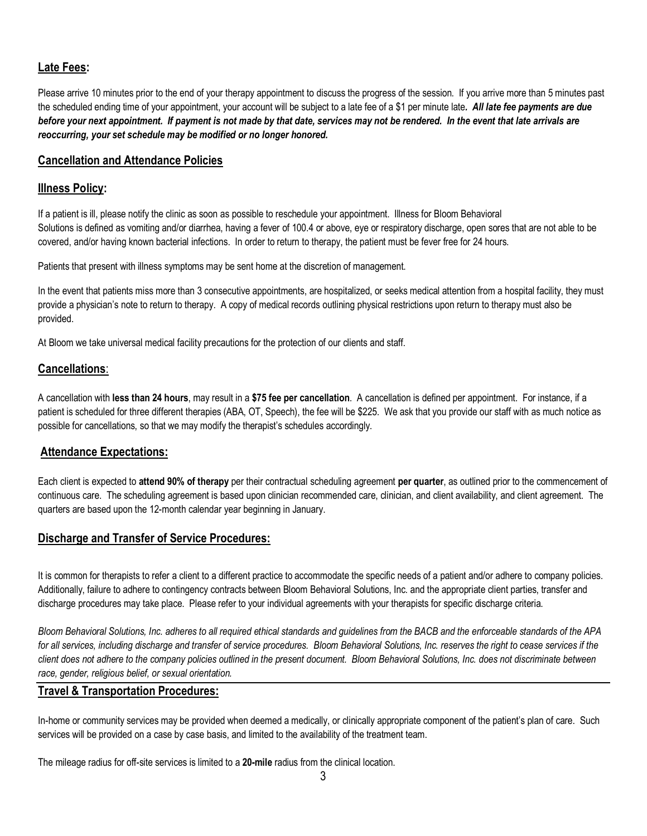# **Late Fees:**

Please arrive 10 minutes prior to the end of your therapy appointment to discuss the progress of the session. If you arrive more than 5 minutes past the scheduled ending time of your appointment, your account will be subject to a late fee of a \$1 per minute late*. All late fee payments are due*  before your next appointment. If payment is not made by that date, services may not be rendered. In the event that late arrivals are *reoccurring, your set schedule may be modified or no longer honored.*

### **Cancellation and Attendance Policies**

### **Illness Policy:**

If a patient is ill, please notify the clinic as soon as possible to reschedule your appointment. Illness for Bloom Behavioral Solutions is defined as vomiting and/or diarrhea, having a fever of 100.4 or above, eye or respiratory discharge, open sores that are not able to be covered, and/or having known bacterial infections. In order to return to therapy, the patient must be fever free for 24 hours.

Patients that present with illness symptoms may be sent home at the discretion of management.

In the event that patients miss more than 3 consecutive appointments, are hospitalized, or seeks medical attention from a hospital facility, they must provide a physician's note to return to therapy. A copy of medical records outlining physical restrictions upon return to therapy must also be provided.

At Bloom we take universal medical facility precautions for the protection of our clients and staff.

# **Cancellations**:

A cancellation with **less than 24 hours**, may result in a **\$75 fee per cancellation**. A cancellation is defined per appointment. For instance, if a patient is scheduled for three different therapies (ABA, OT, Speech), the fee will be \$225. We ask that you provide our staff with as much notice as possible for cancellations, so that we may modify the therapist's schedules accordingly.

# **Attendance Expectations:**

Each client is expected to **attend 90% of therapy** per their contractual scheduling agreement **per quarter**, as outlined prior to the commencement of continuous care. The scheduling agreement is based upon clinician recommended care, clinician, and client availability, and client agreement. The quarters are based upon the 12-month calendar year beginning in January.

# **Discharge and Transfer of Service Procedures:**

It is common for therapists to refer a client to a different practice to accommodate the specific needs of a patient and/or adhere to company policies. Additionally, failure to adhere to contingency contracts between Bloom Behavioral Solutions, Inc. and the appropriate client parties, transfer and discharge procedures may take place. Please refer to your individual agreements with your therapists for specific discharge criteria.

*Bloom Behavioral Solutions, Inc. adheres to all required ethical standards and guidelines from the BACB and the enforceable standards of the APA*  for all services, including discharge and transfer of service procedures. Bloom Behavioral Solutions, Inc. reserves the right to cease services if the *client does not adhere to the company policies outlined in the present document. Bloom Behavioral Solutions, Inc. does not discriminate between race, gender, religious belief, or sexual orientation.* 

# **Travel & Transportation Procedures:**

In-home or community services may be provided when deemed a medically, or clinically appropriate component of the patient's plan of care. Such services will be provided on a case by case basis, and limited to the availability of the treatment team.

The mileage radius for off-site services is limited to a **20-mile** radius from the clinical location.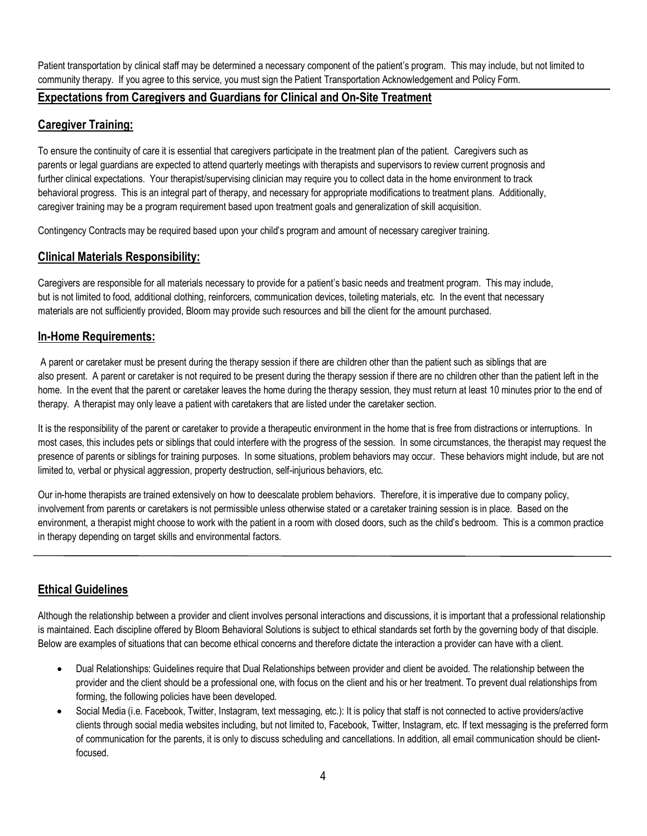Patient transportation by clinical staff may be determined a necessary component of the patient's program. This may include, but not limited to community therapy. If you agree to this service, you must sign the Patient Transportation Acknowledgement and Policy Form.

# **Expectations from Caregivers and Guardians for Clinical and On-Site Treatment**

# **Caregiver Training:**

To ensure the continuity of care it is essential that caregivers participate in the treatment plan of the patient. Caregivers such as parents or legal guardians are expected to attend quarterly meetings with therapists and supervisors to review current prognosis and further clinical expectations. Your therapist/supervising clinician may require you to collect data in the home environment to track behavioral progress. This is an integral part of therapy, and necessary for appropriate modifications to treatment plans. Additionally, caregiver training may be a program requirement based upon treatment goals and generalization of skill acquisition.

Contingency Contracts may be required based upon your child's program and amount of necessary caregiver training.

# **Clinical Materials Responsibility:**

Caregivers are responsible for all materials necessary to provide for a patient's basic needs and treatment program. This may include, but is not limited to food, additional clothing, reinforcers, communication devices, toileting materials, etc. In the event that necessary materials are not sufficiently provided, Bloom may provide such resources and bill the client for the amount purchased.

#### **In-Home Requirements:**

A parent or caretaker must be present during the therapy session if there are children other than the patient such as siblings that are also present. A parent or caretaker is not required to be present during the therapy session if there are no children other than the patient left in the home. In the event that the parent or caretaker leaves the home during the therapy session, they must return at least 10 minutes prior to the end of therapy. A therapist may only leave a patient with caretakers that are listed under the caretaker section.

It is the responsibility of the parent or caretaker to provide a therapeutic environment in the home that is free from distractions or interruptions. In most cases, this includes pets or siblings that could interfere with the progress of the session. In some circumstances, the therapist may request the presence of parents or siblings for training purposes. In some situations, problem behaviors may occur. These behaviors might include, but are not limited to, verbal or physical aggression, property destruction, self-injurious behaviors, etc.

Our in-home therapists are trained extensively on how to deescalate problem behaviors. Therefore, it is imperative due to company policy, involvement from parents or caretakers is not permissible unless otherwise stated or a caretaker training session is in place. Based on the environment, a therapist might choose to work with the patient in a room with closed doors, such as the child's bedroom. This is a common practice in therapy depending on target skills and environmental factors.

# **Ethical Guidelines**

Although the relationship between a provider and client involves personal interactions and discussions, it is important that a professional relationship is maintained. Each discipline offered by Bloom Behavioral Solutions is subject to ethical standards set forth by the governing body of that disciple. Below are examples of situations that can become ethical concerns and therefore dictate the interaction a provider can have with a client.

- Dual Relationships: Guidelines require that Dual Relationships between provider and client be avoided. The relationship between the provider and the client should be a professional one, with focus on the client and his or her treatment. To prevent dual relationships from forming, the following policies have been developed.
- Social Media (i.e. Facebook, Twitter, Instagram, text messaging, etc.): It is policy that staff is not connected to active providers/active clients through social media websites including, but not limited to, Facebook, Twitter, Instagram, etc. If text messaging is the preferred form of communication for the parents, it is only to discuss scheduling and cancellations. In addition, all email communication should be clientfocused.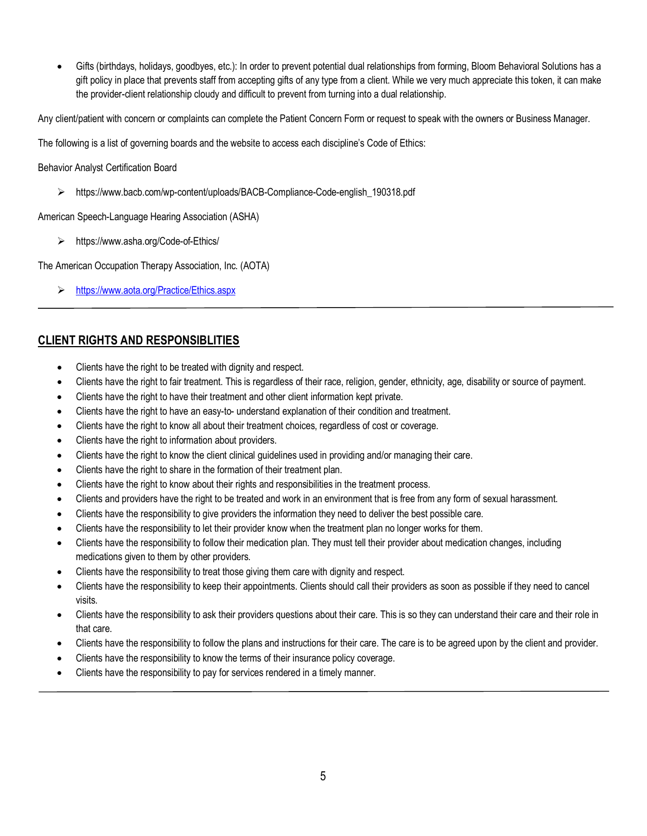• Gifts (birthdays, holidays, goodbyes, etc.): In order to prevent potential dual relationships from forming, Bloom Behavioral Solutions has a gift policy in place that prevents staff from accepting gifts of any type from a client. While we very much appreciate this token, it can make the provider-client relationship cloudy and difficult to prevent from turning into a dual relationship.

Any client/patient with concern or complaints can complete the Patient Concern Form or request to speak with the owners or Business Manager.

The following is a list of governing boards and the website to access each discipline's Code of Ethics:

Behavior Analyst Certification Board

https://www.bacb.com/wp-content/uploads/BACB-Compliance-Code-english\_190318.pdf

American Speech-Language Hearing Association (ASHA)

https://www.asha.org/Code-of-Ethics/

The American Occupation Therapy Association, Inc. (AOTA)

<https://www.aota.org/Practice/Ethics.aspx>

# **CLIENT RIGHTS AND RESPONSIBLITIES**

- Clients have the right to be treated with dignity and respect.
- Clients have the right to fair treatment. This is regardless of their race, religion, gender, ethnicity, age, disability or source of payment.
- Clients have the right to have their treatment and other client information kept private.
- Clients have the right to have an easy-to- understand explanation of their condition and treatment.
- Clients have the right to know all about their treatment choices, regardless of cost or coverage.
- Clients have the right to information about providers.
- Clients have the right to know the client clinical guidelines used in providing and/or managing their care.
- Clients have the right to share in the formation of their treatment plan.
- Clients have the right to know about their rights and responsibilities in the treatment process.
- Clients and providers have the right to be treated and work in an environment that is free from any form of sexual harassment.
- Clients have the responsibility to give providers the information they need to deliver the best possible care.
- Clients have the responsibility to let their provider know when the treatment plan no longer works for them.
- Clients have the responsibility to follow their medication plan. They must tell their provider about medication changes, including medications given to them by other providers.
- Clients have the responsibility to treat those giving them care with dignity and respect.
- Clients have the responsibility to keep their appointments. Clients should call their providers as soon as possible if they need to cancel visits.
- Clients have the responsibility to ask their providers questions about their care. This is so they can understand their care and their role in that care.
- Clients have the responsibility to follow the plans and instructions for their care. The care is to be agreed upon by the client and provider.
- Clients have the responsibility to know the terms of their insurance policy coverage.
- Clients have the responsibility to pay for services rendered in a timely manner.